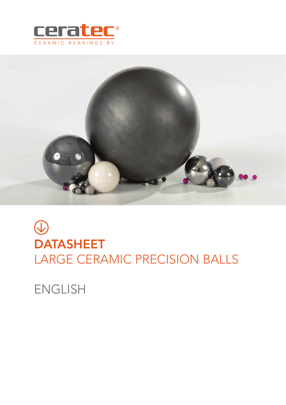



# $\bigcirc$ DATASHEET LARGE CERAMIC PRECISION BALLS

ENGLISH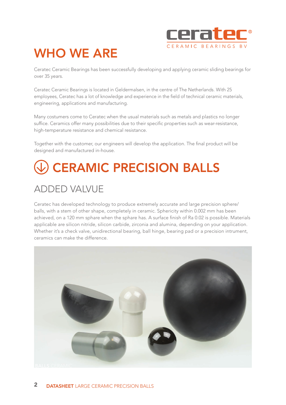

## WHO WE ARE

Ceratec Ceramic Bearings has been successfully developing and applying ceramic sliding bearings for over 35 years.

Ceratec Ceramic Bearings is located in Geldermalsen, in the centre of The Netherlands. With 25 employees, Ceratec has a lot of knowledge and experience in the field of technical ceramic materials, engineering, applications and manufacturing.

Many costumers come to Ceratec when the usual materials such as metals and plastics no longer suffice. Ceramics offer many possibilities due to their specific properties such as wear-resistance, high-temperature resistance and chemical resistance.

Together with the customer, our engineers will develop the application. The final product will be designed and manufactured in-house.

# CERAMIC PRECISION BALLS

### ADDED VALVUE

Ceratec has developed technology to produce extremely accurate and large precision sphere/ balls, with a stem of other shape, completely in ceramic. Sphericity within 0.002 mm has been achieved, on a 120 mm sphare when the sphare has. A surface finish of Ra 0.02 is possible. Materials applicable are silicon nitride, silicon carbide, zirconia and alumina, depending on your application. Whether it's a check valve, unidirectional bearing, ball hinge, bearing pad or a precision intrument, ceramics can make the difference.

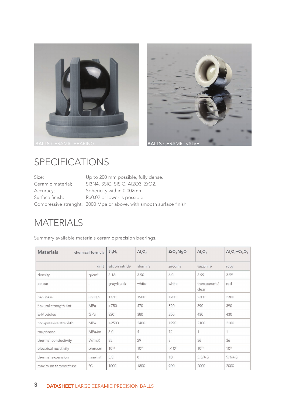



#### SPECIFICATIONS

| Size;             | Up to 200 mm possible, fully dense.                                  |
|-------------------|----------------------------------------------------------------------|
| Ceramic material; | Si3N4, SSiC, SiSiC, Al2O3, ZrO2.                                     |
| Accuracy;         | Sphericity within 0.002mm.                                           |
| Surface finish;   | Ra0.02 or lower is possible                                          |
|                   | Compressive strenght; 3000 Mpa or above, with smooth surface finish. |

#### **MATERIALS**

Summary available materials ceramic precision bearings.

| <b>Materials</b>       | chemical formula         | $Si_3N_4$       | $Al_2O_3$      | ZrO <sub>2</sub> MgO | $Al_2O_3$              | $Al_2O_3 + Cr_2O_3$ |
|------------------------|--------------------------|-----------------|----------------|----------------------|------------------------|---------------------|
| unit                   |                          | silicon nitride | alumina        | zirconia             | sapphire               | ruby                |
| density                | q/cm <sup>3</sup>        | 3.16            | 3.90           | 6.0                  | 3.99                   | 3.99                |
| colour                 | $\overline{\phantom{a}}$ | grey/black      | white          | white                | transparent /<br>clear | red                 |
| hardness               | HV 0,5                   | 1750            | 1900           | 1200                 | 2300                   | 2300                |
| flexural strength 4pt  | <b>MPa</b>               | >750            | 470            | 820                  | 390                    | 390                 |
| E-Modules              | GPa                      | 320             | 380            | 205                  | 430                    | 430                 |
| compressive strenhth   | MPa                      | >2500           | 2400           | 1990                 | 2100                   | 2100                |
| toughness              | MPa√m                    | 6.0             | $\overline{4}$ | 12                   | 1                      | 1                   |
| thermal conductivity   | W/m.K                    | 35              | 29             | 3                    | 36                     | 36                  |
| electrical resistivity | ohm.cm                   | $10^{12}$       | $10^{14}$      | $>10^{8}$            | 1016                   | 1016                |
| thermal expansion      | mm/mK                    | 3,5             | 8              | 10                   | 5.3/4.5                | 5.3/4.5             |
| maximum temperature    | $^{\circ}C$              | 1000            | 1800           | 900                  | 2000                   | 2000                |